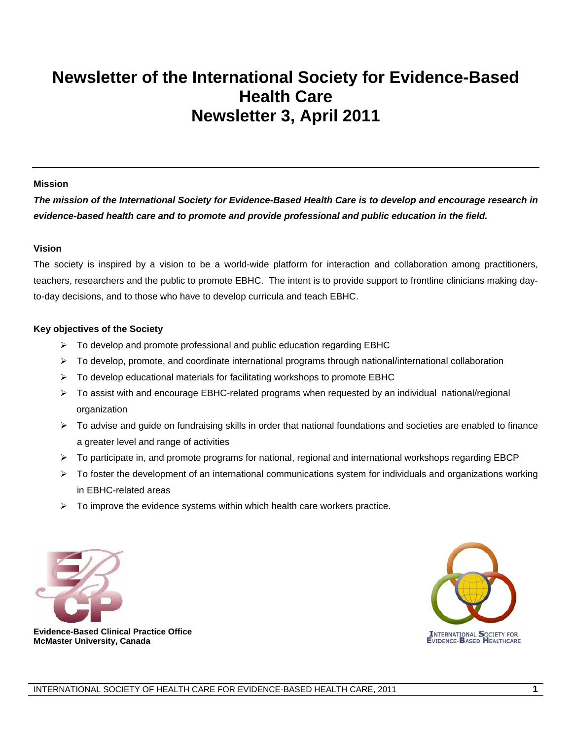## **Newsletter of the International Society for Evidence-Based Health Care Newsletter 3, April 2011**

#### **Mission**

*The mission of the International Society for Evidence-Based Health Care is to develop and encourage research in evidence-based health care and to promote and provide professional and public education in the field.* 

#### **Vision**

The society is inspired by a vision to be a world-wide platform for interaction and collaboration among practitioners, teachers, researchers and the public to promote EBHC. The intent is to provide support to frontline clinicians making dayto-day decisions, and to those who have to develop curricula and teach EBHC.

#### **Key objectives of the Society**

- $\triangleright$  To develop and promote professional and public education regarding EBHC
- $\triangleright$  To develop, promote, and coordinate international programs through national/international collaboration
- $\triangleright$  To develop educational materials for facilitating workshops to promote EBHC
- $\triangleright$  To assist with and encourage EBHC-related programs when requested by an individual national/regional organization
- $\triangleright$  To advise and guide on fundraising skills in order that national foundations and societies are enabled to finance a greater level and range of activities
- ¾ To participate in, and promote programs for national, regional and international workshops regarding EBCP
- $\triangleright$  To foster the development of an international communications system for individuals and organizations working in EBHC-related areas
- $\triangleright$  To improve the evidence systems within which health care workers practice.





 **Evidence-Based Clinical Practice Office McMaster University, Canada**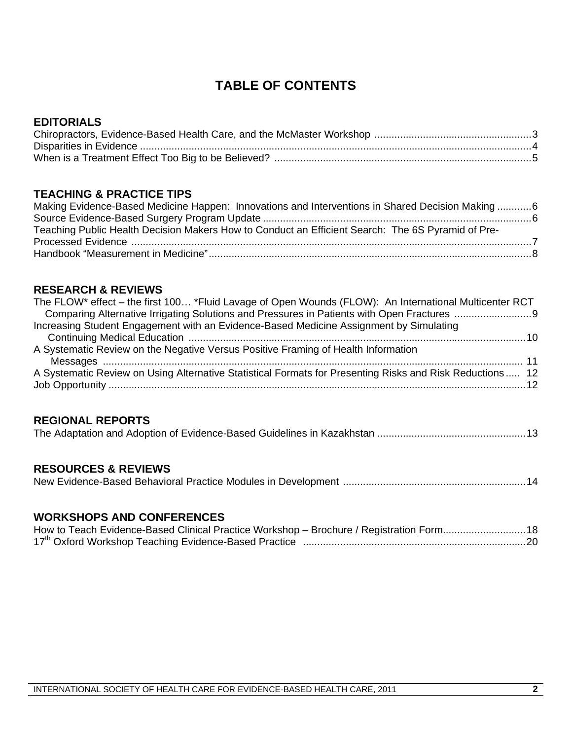### **TABLE OF CONTENTS**

### **EDITORIALS**

### **TEACHING & PRACTICE TIPS**

| Making Evidence-Based Medicine Happen: Innovations and Interventions in Shared Decision Making 6  |  |
|---------------------------------------------------------------------------------------------------|--|
|                                                                                                   |  |
| Teaching Public Health Decision Makers How to Conduct an Efficient Search: The 6S Pyramid of Pre- |  |
|                                                                                                   |  |
|                                                                                                   |  |

### **RESEARCH & REVIEWS**

| The FLOW* effect - the first 100 *Fluid Lavage of Open Wounds (FLOW): An International Multicenter RCT    |  |
|-----------------------------------------------------------------------------------------------------------|--|
|                                                                                                           |  |
| Increasing Student Engagement with an Evidence-Based Medicine Assignment by Simulating                    |  |
|                                                                                                           |  |
| A Systematic Review on the Negative Versus Positive Framing of Health Information                         |  |
|                                                                                                           |  |
| A Systematic Review on Using Alternative Statistical Formats for Presenting Risks and Risk Reductions  12 |  |
|                                                                                                           |  |
|                                                                                                           |  |

### **REGIONAL REPORTS**

|--|--|

### **RESOURCES & REVIEWS**

|--|--|--|

#### **WORKSHOPS AND CONFERENCES**

| How to Teach Evidence-Based Clinical Practice Workshop - Brochure / Registration Form18 |  |
|-----------------------------------------------------------------------------------------|--|
|                                                                                         |  |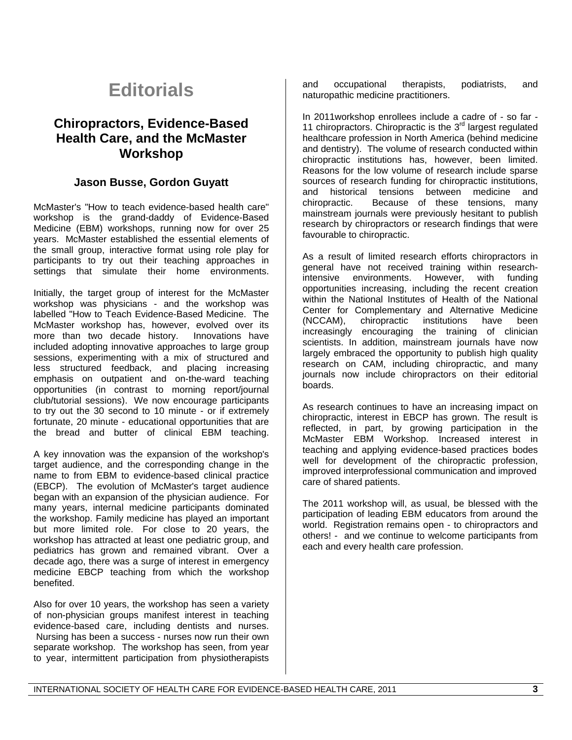## **Editorials**

### **Chiropractors, Evidence-Based Health Care, and the McMaster Workshop**

#### **Jason Busse, Gordon Guyatt**

McMaster's "How to teach evidence-based health care" workshop is the grand-daddy of Evidence-Based Medicine (EBM) workshops, running now for over 25 years. McMaster established the essential elements of the small group, interactive format using role play for participants to try out their teaching approaches in settings that simulate their home environments.

Initially, the target group of interest for the McMaster workshop was physicians - and the workshop was labelled "How to Teach Evidence-Based Medicine. The McMaster workshop has, however, evolved over its more than two decade history. Innovations have included adopting innovative approaches to large group sessions, experimenting with a mix of structured and less structured feedback, and placing increasing emphasis on outpatient and on-the-ward teaching opportunities (in contrast to morning report/journal club/tutorial sessions). We now encourage participants to try out the 30 second to 10 minute - or if extremely fortunate, 20 minute - educational opportunities that are the bread and butter of clinical EBM teaching.

A key innovation was the expansion of the workshop's target audience, and the corresponding change in the name to from EBM to evidence-based clinical practice (EBCP). The evolution of McMaster's target audience began with an expansion of the physician audience. For many years, internal medicine participants dominated the workshop. Family medicine has played an important but more limited role. For close to 20 years, the workshop has attracted at least one pediatric group, and pediatrics has grown and remained vibrant. Over a decade ago, there was a surge of interest in emergency medicine EBCP teaching from which the workshop benefited.

Also for over 10 years, the workshop has seen a variety of non-physician groups manifest interest in teaching evidence-based care, including dentists and nurses. Nursing has been a success - nurses now run their own separate workshop. The workshop has seen, from year to year, intermittent participation from physiotherapists

and occupational therapists, podiatrists, and naturopathic medicine practitioners.

In 2011workshop enrollees include a cadre of - so far - 11 chiropractors. Chiropractic is the  $3<sup>rd</sup>$  largest regulated healthcare profession in North America (behind medicine and dentistry). The volume of research conducted within chiropractic institutions has, however, been limited. Reasons for the low volume of research include sparse sources of research funding for chiropractic institutions, and historical tensions between medicine and chiropractic. Because of these tensions, many mainstream journals were previously hesitant to publish research by chiropractors or research findings that were favourable to chiropractic.

As a result of limited research efforts chiropractors in general have not received training within researchintensive environments. However, with funding opportunities increasing, including the recent creation within the National Institutes of Health of the National Center for Complementary and Alternative Medicine (NCCAM), chiropractic institutions have been increasingly encouraging the training of clinician scientists. In addition, mainstream journals have now largely embraced the opportunity to publish high quality research on CAM, including chiropractic, and many journals now include chiropractors on their editorial boards.

As research continues to have an increasing impact on chiropractic, interest in EBCP has grown. The result is reflected, in part, by growing participation in the McMaster EBM Workshop. Increased interest in teaching and applying evidence-based practices bodes well for development of the chiropractic profession, improved interprofessional communication and improved care of shared patients.

The 2011 workshop will, as usual, be blessed with the participation of leading EBM educators from around the world. Registration remains open - to chiropractors and others! - and we continue to welcome participants from each and every health care profession.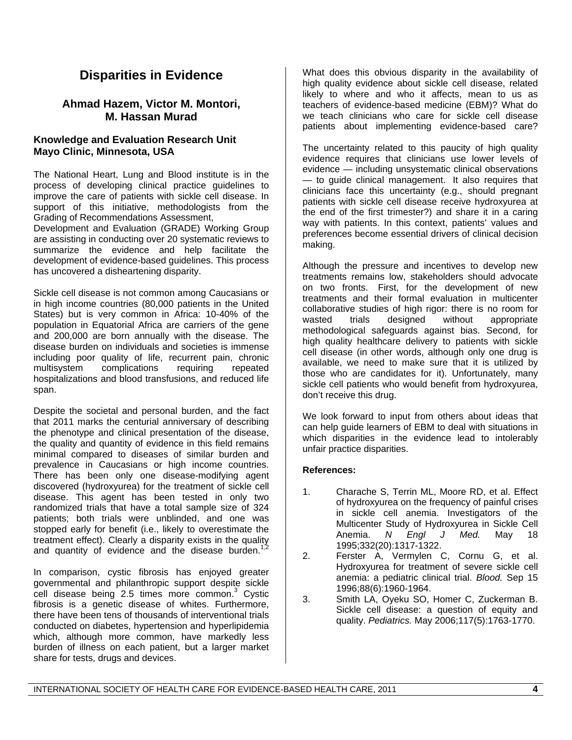### **Disparities in Evidence**

#### **Ahmad Hazem, Victor M. Montori, M. Hassan Murad**

#### **Knowledge and Evaluation Research Unit Mayo Clinic, Minnesota, USA**

The National Heart, Lung and Blood institute is in the process of developing clinical practice guidelines to improve the care of patients with sickle cell disease. In support of this initiative, methodologists from the Grading of Recommendations Assessment,

Development and Evaluation (GRADE) Working Group are assisting in conducting over 20 systematic reviews to summarize the evidence and help facilitate the development of evidence-based guidelines. This process has uncovered a disheartening disparity.

Sickle cell disease is not common among Caucasians or in high income countries (80,000 patients in the United States) but is very common in Africa: 10-40% of the population in Equatorial Africa are carriers of the gene and 200,000 are born annually with the disease. The disease burden on individuals and societies is immense including poor quality of life, recurrent pain, chronic multisystem complications requiring repeated hospitalizations and blood transfusions, and reduced life span.

Despite the societal and personal burden, and the fact that 2011 marks the centurial anniversary of describing the phenotype and clinical presentation of the disease, the quality and quantity of evidence in this field remains minimal compared to diseases of similar burden and prevalence in Caucasians or high income countries. There has been only one disease-modifying agent discovered (hydroxyurea) for the treatment of sickle cell disease. This agent has been tested in only two randomized trials that have a total sample size of 324 patients; both trials were unblinded, and one was stopped early for benefit (i.e., likely to overestimate the treatment effect). Clearly a disparity exists in the quality and quantity of evidence and the disease burden.<sup>1,2</sup>

In comparison, cystic fibrosis has enjoyed greater governmental and philanthropic support despite sickle cell disease being 2.5 times more common.<sup>3</sup> Cystic fibrosis is a genetic disease of whites. Furthermore, there have been tens of thousands of interventional trials conducted on diabetes, hypertension and hyperlipidemia which, although more common, have markedly less burden of illness on each patient, but a larger market share for tests, drugs and devices.

What does this obvious disparity in the availability of high quality evidence about sickle cell disease, related likely to where and who it affects, mean to us as teachers of evidence-based medicine (EBM)? What do we teach clinicians who care for sickle cell disease patients about implementing evidence-based care?

The uncertainty related to this paucity of high quality evidence requires that clinicians use lower levels of evidence — including unsystematic clinical observations — to guide clinical management. It also requires that clinicians face this uncertainty (e.g., should pregnant patients with sickle cell disease receive hydroxyurea at the end of the first trimester?) and share it in a caring way with patients. In this context, patients' values and preferences become essential drivers of clinical decision making.

Although the pressure and incentives to develop new treatments remains low, stakeholders should advocate on two fronts. First, for the development of new treatments and their formal evaluation in multicenter collaborative studies of high rigor: there is no room for wasted trials designed without appropriate methodological safeguards against bias. Second, for high quality healthcare delivery to patients with sickle cell disease (in other words, although only one drug is available, we need to make sure that it is utilized by those who are candidates for it). Unfortunately, many sickle cell patients who would benefit from hydroxyurea, don't receive this drug.

We look forward to input from others about ideas that can help guide learners of EBM to deal with situations in which disparities in the evidence lead to intolerably unfair practice disparities.

#### **References:**

- 1. Charache S, Terrin ML, Moore RD, et al. Effect of hydroxyurea on the frequency of painful crises in sickle cell anemia. Investigators of the Multicenter Study of Hydroxyurea in Sickle Cell Anemia. *N Engl J Med.* May 18 1995;332(20):1317-1322.
- 2. Ferster A, Vermylen C, Cornu G, et al. Hydroxyurea for treatment of severe sickle cell anemia: a pediatric clinical trial. *Blood.* Sep 15 1996;88(6):1960-1964.
- 3. Smith LA, Oyeku SO, Homer C, Zuckerman B. Sickle cell disease: a question of equity and quality. *Pediatrics.* May 2006;117(5):1763-1770.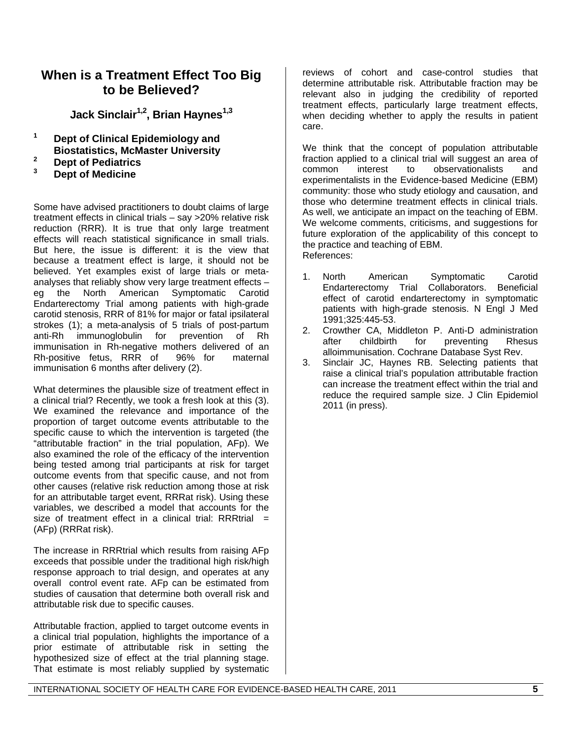### **When is a Treatment Effect Too Big to be Believed?**

**Jack Sinclair1,2, Brian Haynes1,3**

- **1 Dept of Clinical Epidemiology and Biostatistics, McMaster University**
- **2** <sup>2</sup> Dept of Pediatrics
- **3 Dept of Medicine**

Some have advised practitioners to doubt claims of large treatment effects in clinical trials – say >20% relative risk reduction (RRR). It is true that only large treatment effects will reach statistical significance in small trials. But here, the issue is different: it is the view that because a treatment effect is large, it should not be believed. Yet examples exist of large trials or metaanalyses that reliably show very large treatment effects – eg the North American Symptomatic Carotid Endarterectomy Trial among patients with high-grade carotid stenosis, RRR of 81% for major or fatal ipsilateral strokes (1); a meta-analysis of 5 trials of post-partum anti-Rh immunoglobulin for prevention of Rh immunisation in Rh-negative mothers delivered of an Rh-positive fetus, RRR of 96% for maternal immunisation 6 months after delivery (2).

What determines the plausible size of treatment effect in a clinical trial? Recently, we took a fresh look at this (3). We examined the relevance and importance of the proportion of target outcome events attributable to the specific cause to which the intervention is targeted (the "attributable fraction" in the trial population, AFp). We also examined the role of the efficacy of the intervention being tested among trial participants at risk for target outcome events from that specific cause, and not from other causes (relative risk reduction among those at risk for an attributable target event, RRRat risk). Using these variables, we described a model that accounts for the size of treatment effect in a clinical trial: RRRtrial  $=$ (AFp) (RRRat risk).

The increase in RRRtrial which results from raising AFp exceeds that possible under the traditional high risk/high response approach to trial design, and operates at any overall control event rate. AFp can be estimated from studies of causation that determine both overall risk and attributable risk due to specific causes.

Attributable fraction, applied to target outcome events in a clinical trial population, highlights the importance of a prior estimate of attributable risk in setting the hypothesized size of effect at the trial planning stage. That estimate is most reliably supplied by systematic

reviews of cohort and case-control studies that determine attributable risk. Attributable fraction may be relevant also in judging the credibility of reported treatment effects, particularly large treatment effects, when deciding whether to apply the results in patient care.

We think that the concept of population attributable fraction applied to a clinical trial will suggest an area of common interest to observationalists and experimentalists in the Evidence-based Medicine (EBM) community: those who study etiology and causation, and those who determine treatment effects in clinical trials. As well, we anticipate an impact on the teaching of EBM. We welcome comments, criticisms, and suggestions for future exploration of the applicability of this concept to the practice and teaching of EBM. References:

- 1. North American Symptomatic Carotid<br>1. Endarterectomy Trial Collaborators. Beneficial Endarterectomy Trial Collaborators. effect of carotid endarterectomy in symptomatic patients with high-grade stenosis. N Engl J Med 1991;325:445-53.
- 2. Crowther CA, Middleton P. Anti-D administration after childbirth for preventing Rhesus alloimmunisation. Cochrane Database Syst Rev.
- 3. Sinclair JC, Haynes RB. Selecting patients that raise a clinical trial's population attributable fraction can increase the treatment effect within the trial and reduce the required sample size. J Clin Epidemiol 2011 (in press).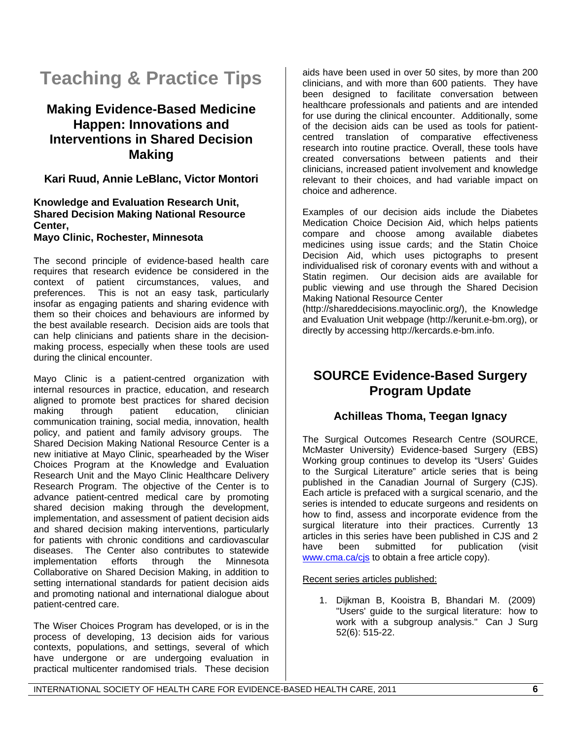## **Teaching & Practice Tips**

### **Making Evidence-Based Medicine Happen: Innovations and Interventions in Shared Decision Making**

**Kari Ruud, Annie LeBlanc, Victor Montori** 

#### **Knowledge and Evaluation Research Unit, Shared Decision Making National Resource Center,**

**Mayo Clinic, Rochester, Minnesota** 

The second principle of evidence-based health care requires that research evidence be considered in the context of patient circumstances, values, and preferences. This is not an easy task, particularly insofar as engaging patients and sharing evidence with them so their choices and behaviours are informed by the best available research. Decision aids are tools that can help clinicians and patients share in the decisionmaking process, especially when these tools are used during the clinical encounter.

Mayo Clinic is a patient-centred organization with internal resources in practice, education, and research aligned to promote best practices for shared decision making through patient education, clinician communication training, social media, innovation, health policy, and patient and family advisory groups. The Shared Decision Making National Resource Center is a new initiative at Mayo Clinic, spearheaded by the Wiser Choices Program at the Knowledge and Evaluation Research Unit and the Mayo Clinic Healthcare Delivery Research Program. The objective of the Center is to advance patient-centred medical care by promoting shared decision making through the development, implementation, and assessment of patient decision aids and shared decision making interventions, particularly for patients with chronic conditions and cardiovascular diseases. The Center also contributes to statewide implementation efforts through the Minnesota Collaborative on Shared Decision Making, in addition to setting international standards for patient decision aids and promoting national and international dialogue about patient-centred care.

The Wiser Choices Program has developed, or is in the process of developing, 13 decision aids for various contexts, populations, and settings, several of which have undergone or are undergoing evaluation in practical multicenter randomised trials. These decision

aids have been used in over 50 sites, by more than 200 clinicians, and with more than 600 patients. They have been designed to facilitate conversation between healthcare professionals and patients and are intended for use during the clinical encounter. Additionally, some of the decision aids can be used as tools for patientcentred translation of comparative effectiveness research into routine practice. Overall, these tools have created conversations between patients and their clinicians, increased patient involvement and knowledge relevant to their choices, and had variable impact on choice and adherence.

Examples of our decision aids include the Diabetes Medication Choice Decision Aid, which helps patients compare and choose among available diabetes medicines using issue cards; and the Statin Choice Decision Aid, which uses pictographs to present individualised risk of coronary events with and without a Statin regimen. Our decision aids are available for public viewing and use through the Shared Decision Making National Resource Center

(http://shareddecisions.mayoclinic.org/), the Knowledge and Evaluation Unit webpage (http://kerunit.e-bm.org), or directly by accessing http://kercards.e-bm.info.

### **SOURCE Evidence-Based Surgery Program Update**

#### **Achilleas Thoma, Teegan Ignacy**

The Surgical Outcomes Research Centre (SOURCE, McMaster University) Evidence-based Surgery (EBS) Working group continues to develop its "Users' Guides to the Surgical Literature" article series that is being published in the Canadian Journal of Surgery (CJS). Each article is prefaced with a surgical scenario, and the series is intended to educate surgeons and residents on how to find, assess and incorporate evidence from the surgical literature into their practices. Currently 13 articles in this series have been published in CJS and 2 have been submitted for publication (visit www.cma.ca/cjs to obtain a free article copy).

Recent series articles published:

1. Dijkman B, Kooistra B, Bhandari M. (2009) "Users' guide to the surgical literature: how to work with a subgroup analysis." Can J Surg 52(6): 515-22.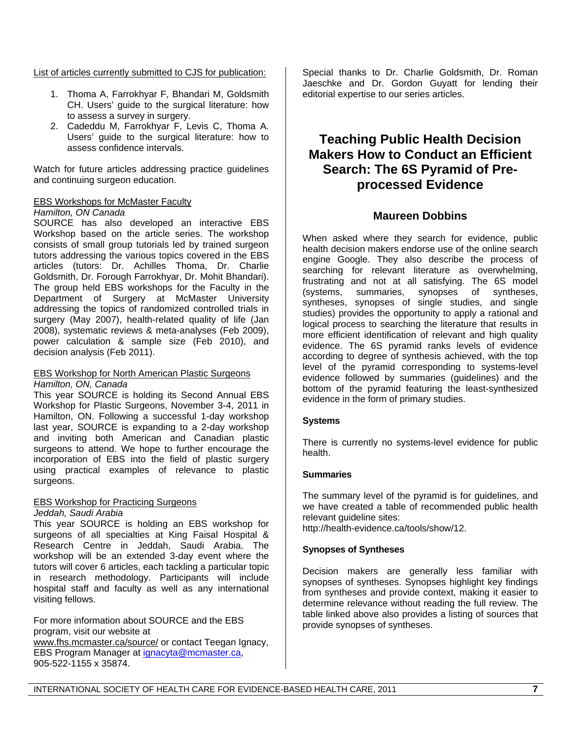List of articles currently submitted to CJS for publication:

- 1. Thoma A, Farrokhyar F, Bhandari M, Goldsmith CH. Users' guide to the surgical literature: how to assess a survey in surgery.
- 2. Cadeddu M, Farrokhyar F, Levis C, Thoma A. Users' guide to the surgical literature: how to assess confidence intervals.

Watch for future articles addressing practice guidelines and continuing surgeon education.

#### EBS Workshops for McMaster Faculty

#### *Hamilton, ON Canada*

SOURCE has also developed an interactive EBS Workshop based on the article series. The workshop consists of small group tutorials led by trained surgeon tutors addressing the various topics covered in the EBS articles (tutors: Dr. Achilles Thoma, Dr. Charlie Goldsmith, Dr. Forough Farrokhyar, Dr. Mohit Bhandari). The group held EBS workshops for the Faculty in the Department of Surgery at McMaster University addressing the topics of randomized controlled trials in surgery (May 2007), health-related quality of life (Jan 2008), systematic reviews & meta-analyses (Feb 2009), power calculation & sample size (Feb 2010), and decision analysis (Feb 2011).

#### EBS Workshop for North American Plastic Surgeons *Hamilton, ON, Canada*

This year SOURCE is holding its Second Annual EBS Workshop for Plastic Surgeons, November 3-4, 2011 in Hamilton, ON. Following a successful 1-day workshop last year, SOURCE is expanding to a 2-day workshop and inviting both American and Canadian plastic surgeons to attend. We hope to further encourage the incorporation of EBS into the field of plastic surgery using practical examples of relevance to plastic surgeons.

#### EBS Workshop for Practicing Surgeons *Jeddah, Saudi Arabia*

This year SOURCE is holding an EBS workshop for surgeons of all specialties at King Faisal Hospital & Research Centre in Jeddah, Saudi Arabia. The workshop will be an extended 3-day event where the tutors will cover 6 articles, each tackling a particular topic in research methodology. Participants will include hospital staff and faculty as well as any international visiting fellows.

For more information about SOURCE and the EBS program, visit our website at www.fhs.mcmaster.ca/source/ or contact Teegan Ignacy, EBS Program Manager at ignacyta@mcmaster.ca, 905-522-1155 x 35874.

Special thanks to Dr. Charlie Goldsmith, Dr. Roman Jaeschke and Dr. Gordon Guyatt for lending their editorial expertise to our series articles.

### **Teaching Public Health Decision Makers How to Conduct an Efficient Search: The 6S Pyramid of Preprocessed Evidence**

#### **Maureen Dobbins**

When asked where they search for evidence, public health decision makers endorse use of the online search engine Google. They also describe the process of searching for relevant literature as overwhelming, frustrating and not at all satisfying. The 6S model (systems, summaries, synopses of syntheses, syntheses, synopses of single studies, and single studies) provides the opportunity to apply a rational and logical process to searching the literature that results in more efficient identification of relevant and high quality evidence. The 6S pyramid ranks levels of evidence according to degree of synthesis achieved, with the top level of the pyramid corresponding to systems-level evidence followed by summaries (guidelines) and the bottom of the pyramid featuring the least-synthesized evidence in the form of primary studies.

#### **Systems**

There is currently no systems-level evidence for public health.

#### **Summaries**

The summary level of the pyramid is for guidelines, and we have created a table of recommended public health relevant quideline sites: http://health-evidence.ca/tools/show/12.

**Synopses of Syntheses** 

Decision makers are generally less familiar with synopses of syntheses. Synopses highlight key findings from syntheses and provide context, making it easier to determine relevance without reading the full review. The table linked above also provides a listing of sources that provide synopses of syntheses.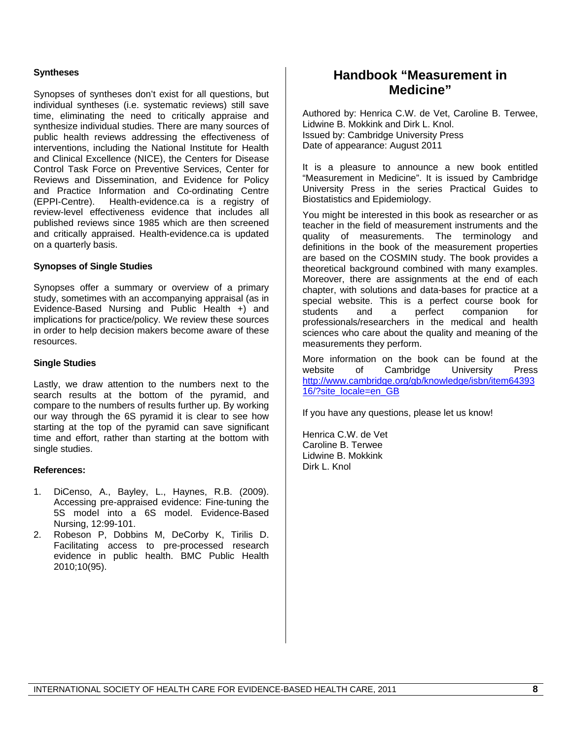#### **Syntheses**

Synopses of syntheses don't exist for all questions, but individual syntheses (i.e. systematic reviews) still save time, eliminating the need to critically appraise and synthesize individual studies. There are many sources of public health reviews addressing the effectiveness of interventions, including the National Institute for Health and Clinical Excellence (NICE), the Centers for Disease Control Task Force on Preventive Services, Center for Reviews and Dissemination, and Evidence for Policy and Practice Information and Co-ordinating Centre (EPPI-Centre). Health-evidence.ca is a registry of review-level effectiveness evidence that includes all published reviews since 1985 which are then screened and critically appraised. Health-evidence.ca is updated on a quarterly basis.

#### **Synopses of Single Studies**

Synopses offer a summary or overview of a primary study, sometimes with an accompanying appraisal (as in Evidence-Based Nursing and Public Health +) and implications for practice/policy. We review these sources in order to help decision makers become aware of these resources.

#### **Single Studies**

Lastly, we draw attention to the numbers next to the search results at the bottom of the pyramid, and compare to the numbers of results further up. By working our way through the 6S pyramid it is clear to see how starting at the top of the pyramid can save significant time and effort, rather than starting at the bottom with single studies.

#### **References:**

- 1. DiCenso, A., Bayley, L., Haynes, R.B. (2009). Accessing pre-appraised evidence: Fine-tuning the 5S model into a 6S model. Evidence-Based Nursing, 12:99-101.
- 2. Robeson P, Dobbins M, DeCorby K, Tirilis D. Facilitating access to pre-processed research evidence in public health. BMC Public Health 2010;10(95).

### **Handbook "Measurement in Medicine"**

Authored by: Henrica C.W. de Vet, Caroline B. Terwee, Lidwine B. Mokkink and Dirk L. Knol. Issued by: Cambridge University Press Date of appearance: August 2011

It is a pleasure to announce a new book entitled "Measurement in Medicine". It is issued by Cambridge University Press in the series Practical Guides to Biostatistics and Epidemiology.

You might be interested in this book as researcher or as teacher in the field of measurement instruments and the quality of measurements. The terminology and definitions in the book of the measurement properties are based on the COSMIN study. The book provides a theoretical background combined with many examples. Moreover, there are assignments at the end of each chapter, with solutions and data-bases for practice at a special website. This is a perfect course book for<br>students and a perfect companion for students and a perfect companion for professionals/researchers in the medical and health sciences who care about the quality and meaning of the measurements they perform.

More information on the book can be found at the website of Cambridge University Press http://www.cambridge.org/gb/knowledge/isbn/item64393 16/?site\_locale=en\_GB

If you have any questions, please let us know!

Henrica C.W. de Vet Caroline B. Terwee Lidwine B. Mokkink Dirk L. Knol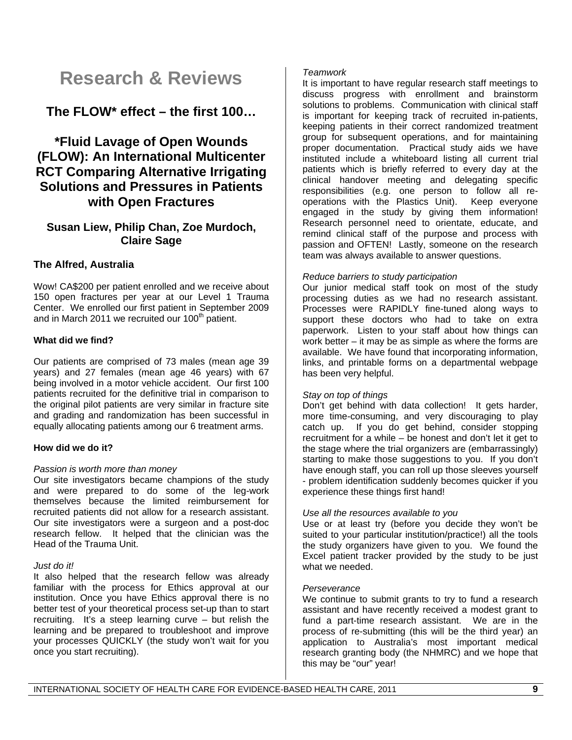## **Research & Reviews**

### **The FLOW\* effect – the first 100…**

### **\*Fluid Lavage of Open Wounds (FLOW): An International Multicenter RCT Comparing Alternative Irrigating Solutions and Pressures in Patients with Open Fractures**

#### **Susan Liew, Philip Chan, Zoe Murdoch, Claire Sage**

#### **The Alfred, Australia**

Wow! CA\$200 per patient enrolled and we receive about 150 open fractures per year at our Level 1 Trauma Center. We enrolled our first patient in September 2009 and in March 2011 we recruited our  $100<sup>th</sup>$  patient.

#### **What did we find?**

Our patients are comprised of 73 males (mean age 39 years) and 27 females (mean age 46 years) with 67 being involved in a motor vehicle accident. Our first 100 patients recruited for the definitive trial in comparison to the original pilot patients are very similar in fracture site and grading and randomization has been successful in equally allocating patients among our 6 treatment arms.

#### **How did we do it?**

#### *Passion is worth more than money*

Our site investigators became champions of the study and were prepared to do some of the leg-work themselves because the limited reimbursement for recruited patients did not allow for a research assistant. Our site investigators were a surgeon and a post-doc research fellow. It helped that the clinician was the Head of the Trauma Unit.

#### *Just do it!*

It also helped that the research fellow was already familiar with the process for Ethics approval at our institution. Once you have Ethics approval there is no better test of your theoretical process set-up than to start recruiting. It's a steep learning curve – but relish the learning and be prepared to troubleshoot and improve your processes QUICKLY (the study won't wait for you once you start recruiting).

#### *Teamwork*

It is important to have regular research staff meetings to discuss progress with enrollment and brainstorm solutions to problems. Communication with clinical staff is important for keeping track of recruited in-patients, keeping patients in their correct randomized treatment group for subsequent operations, and for maintaining proper documentation. Practical study aids we have instituted include a whiteboard listing all current trial patients which is briefly referred to every day at the clinical handover meeting and delegating specific responsibilities (e.g. one person to follow all reoperations with the Plastics Unit). Keep everyone engaged in the study by giving them information! Research personnel need to orientate, educate, and remind clinical staff of the purpose and process with passion and OFTEN! Lastly, someone on the research team was always available to answer questions.

#### *Reduce barriers to study participation*

Our junior medical staff took on most of the study processing duties as we had no research assistant. Processes were RAPIDLY fine-tuned along ways to support these doctors who had to take on extra paperwork. Listen to your staff about how things can work better – it may be as simple as where the forms are available. We have found that incorporating information, links, and printable forms on a departmental webpage has been very helpful.

#### *Stay on top of things*

Don't get behind with data collection! It gets harder, more time-consuming, and very discouraging to play catch up. If you do get behind, consider stopping recruitment for a while – be honest and don't let it get to the stage where the trial organizers are (embarrassingly) starting to make those suggestions to you. If you don't have enough staff, you can roll up those sleeves yourself - problem identification suddenly becomes quicker if you experience these things first hand!

#### *Use all the resources available to you*

Use or at least try (before you decide they won't be suited to your particular institution/practice!) all the tools the study organizers have given to you. We found the Excel patient tracker provided by the study to be just what we needed.

#### *Perseverance*

We continue to submit grants to try to fund a research assistant and have recently received a modest grant to fund a part-time research assistant. We are in the process of re-submitting (this will be the third year) an application to Australia's most important medical research granting body (the NHMRC) and we hope that this may be "our" year!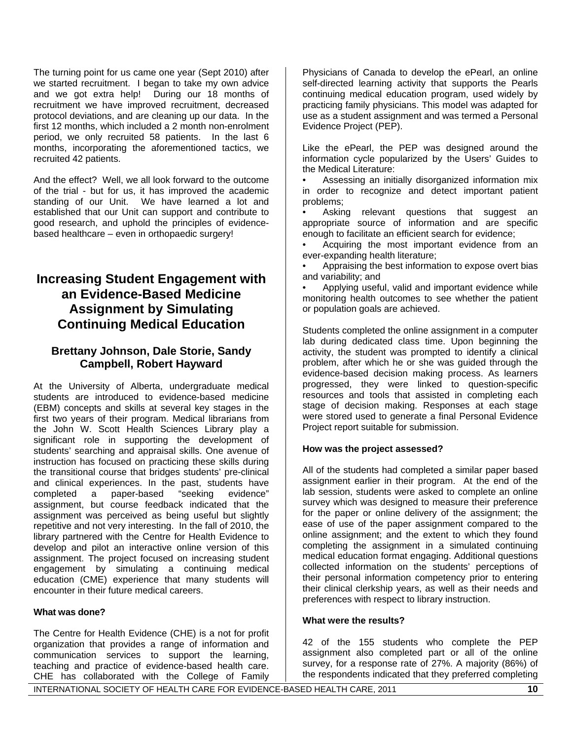The turning point for us came one year (Sept 2010) after we started recruitment. I began to take my own advice and we got extra help! During our 18 months of recruitment we have improved recruitment, decreased protocol deviations, and are cleaning up our data. In the first 12 months, which included a 2 month non-enrolment period, we only recruited 58 patients. In the last 6 months, incorporating the aforementioned tactics, we recruited 42 patients.

And the effect? Well, we all look forward to the outcome of the trial - but for us, it has improved the academic standing of our Unit. We have learned a lot and established that our Unit can support and contribute to good research, and uphold the principles of evidencebased healthcare – even in orthopaedic surgery!

### **Increasing Student Engagement with an Evidence-Based Medicine Assignment by Simulating Continuing Medical Education**

### **Brettany Johnson, Dale Storie, Sandy Campbell, Robert Hayward**

At the University of Alberta, undergraduate medical students are introduced to evidence-based medicine (EBM) concepts and skills at several key stages in the first two years of their program. Medical librarians from the John W. Scott Health Sciences Library play a significant role in supporting the development of students' searching and appraisal skills. One avenue of instruction has focused on practicing these skills during the transitional course that bridges students' pre-clinical and clinical experiences. In the past, students have completed a paper-based "seeking evidence" assignment, but course feedback indicated that the assignment was perceived as being useful but slightly repetitive and not very interesting. In the fall of 2010, the library partnered with the Centre for Health Evidence to develop and pilot an interactive online version of this assignment. The project focused on increasing student engagement by simulating a continuing medical education (CME) experience that many students will encounter in their future medical careers.

#### **What was done?**

The Centre for Health Evidence (CHE) is a not for profit organization that provides a range of information and communication services to support the learning, teaching and practice of evidence-based health care. CHE has collaborated with the College of Family

Physicians of Canada to develop the ePearl, an online self-directed learning activity that supports the Pearls continuing medical education program, used widely by practicing family physicians. This model was adapted for use as a student assignment and was termed a Personal Evidence Project (PEP).

Like the ePearl, the PEP was designed around the information cycle popularized by the Users' Guides to the Medical Literature:

• Assessing an initially disorganized information mix in order to recognize and detect important patient problems;

• Asking relevant questions that suggest an appropriate source of information and are specific enough to facilitate an efficient search for evidence;

• Acquiring the most important evidence from an ever-expanding health literature;

• Appraising the best information to expose overt bias and variability; and

• Applying useful, valid and important evidence while monitoring health outcomes to see whether the patient or population goals are achieved.

Students completed the online assignment in a computer lab during dedicated class time. Upon beginning the activity, the student was prompted to identify a clinical problem, after which he or she was guided through the evidence-based decision making process. As learners progressed, they were linked to question-specific resources and tools that assisted in completing each stage of decision making. Responses at each stage were stored used to generate a final Personal Evidence Project report suitable for submission.

#### **How was the project assessed?**

All of the students had completed a similar paper based assignment earlier in their program. At the end of the lab session, students were asked to complete an online survey which was designed to measure their preference for the paper or online delivery of the assignment; the ease of use of the paper assignment compared to the online assignment; and the extent to which they found completing the assignment in a simulated continuing medical education format engaging. Additional questions collected information on the students' perceptions of their personal information competency prior to entering their clinical clerkship years, as well as their needs and preferences with respect to library instruction.

#### **What were the results?**

42 of the 155 students who complete the PEP assignment also completed part or all of the online survey, for a response rate of 27%. A majority (86%) of the respondents indicated that they preferred completing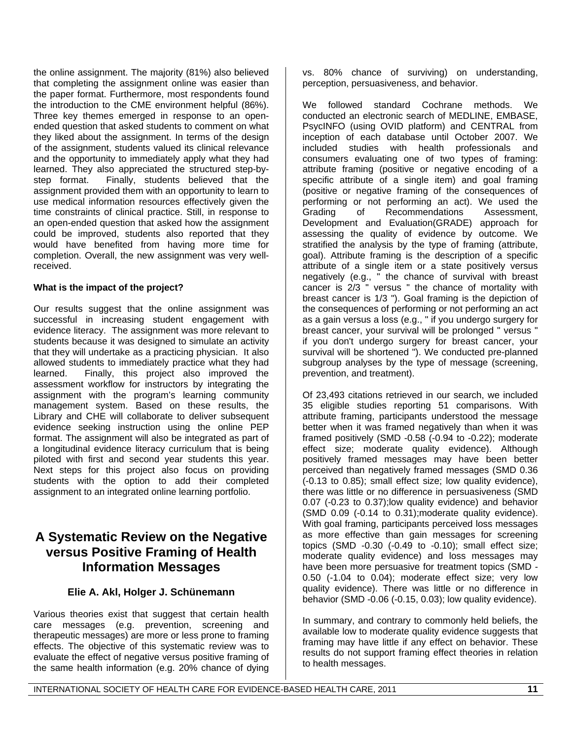the online assignment. The majority (81%) also believed that completing the assignment online was easier than the paper format. Furthermore, most respondents found the introduction to the CME environment helpful (86%). Three key themes emerged in response to an openended question that asked students to comment on what they liked about the assignment. In terms of the design of the assignment, students valued its clinical relevance and the opportunity to immediately apply what they had learned. They also appreciated the structured step-bystep format. Finally, students believed that the assignment provided them with an opportunity to learn to use medical information resources effectively given the time constraints of clinical practice. Still, in response to an open-ended question that asked how the assignment could be improved, students also reported that they would have benefited from having more time for completion. Overall, the new assignment was very wellreceived.

#### **What is the impact of the project?**

Our results suggest that the online assignment was successful in increasing student engagement with evidence literacy. The assignment was more relevant to students because it was designed to simulate an activity that they will undertake as a practicing physician. It also allowed students to immediately practice what they had learned. Finally, this project also improved the assessment workflow for instructors by integrating the assignment with the program's learning community management system. Based on these results, the Library and CHE will collaborate to deliver subsequent evidence seeking instruction using the online PEP format. The assignment will also be integrated as part of a longitudinal evidence literacy curriculum that is being piloted with first and second year students this year. Next steps for this project also focus on providing students with the option to add their completed assignment to an integrated online learning portfolio.

### **A Systematic Review on the Negative versus Positive Framing of Health Information Messages**

#### **Elie A. Akl, Holger J. Schünemann**

Various theories exist that suggest that certain health care messages (e.g. prevention, screening and therapeutic messages) are more or less prone to framing effects. The objective of this systematic review was to evaluate the effect of negative versus positive framing of the same health information (e.g. 20% chance of dying

vs. 80% chance of surviving) on understanding, perception, persuasiveness, and behavior.

We followed standard Cochrane methods. We conducted an electronic search of MEDLINE, EMBASE, PsycINFO (using OVID platform) and CENTRAL from inception of each database until October 2007. We included studies with health professionals and consumers evaluating one of two types of framing: attribute framing (positive or negative encoding of a specific attribute of a single item) and goal framing (positive or negative framing of the consequences of performing or not performing an act). We used the Grading of Recommendations Assessment, Development and Evaluation(GRADE) approach for assessing the quality of evidence by outcome. We stratified the analysis by the type of framing (attribute, goal). Attribute framing is the description of a specific attribute of a single item or a state positively versus negatively (e.g., " the chance of survival with breast cancer is 2/3 " versus " the chance of mortality with breast cancer is 1/3 "). Goal framing is the depiction of the consequences of performing or not performing an act as a gain versus a loss (e.g., " if you undergo surgery for breast cancer, your survival will be prolonged " versus " if you don't undergo surgery for breast cancer, your survival will be shortened "). We conducted pre-planned subgroup analyses by the type of message (screening, prevention, and treatment).

Of 23,493 citations retrieved in our search, we included 35 eligible studies reporting 51 comparisons. With attribute framing, participants understood the message better when it was framed negatively than when it was framed positively (SMD -0.58 (-0.94 to -0.22); moderate effect size; moderate quality evidence). Although positively framed messages may have been better perceived than negatively framed messages (SMD 0.36 (-0.13 to 0.85); small effect size; low quality evidence), there was little or no difference in persuasiveness (SMD 0.07 (-0.23 to 0.37);low quality evidence) and behavior (SMD 0.09 (-0.14 to 0.31);moderate quality evidence). With goal framing, participants perceived loss messages as more effective than gain messages for screening topics (SMD -0.30 (-0.49 to -0.10); small effect size; moderate quality evidence) and loss messages may have been more persuasive for treatment topics (SMD - 0.50 (-1.04 to 0.04); moderate effect size; very low quality evidence). There was little or no difference in behavior (SMD -0.06 (-0.15, 0.03); low quality evidence).

In summary, and contrary to commonly held beliefs, the available low to moderate quality evidence suggests that framing may have little if any effect on behavior. These results do not support framing effect theories in relation to health messages.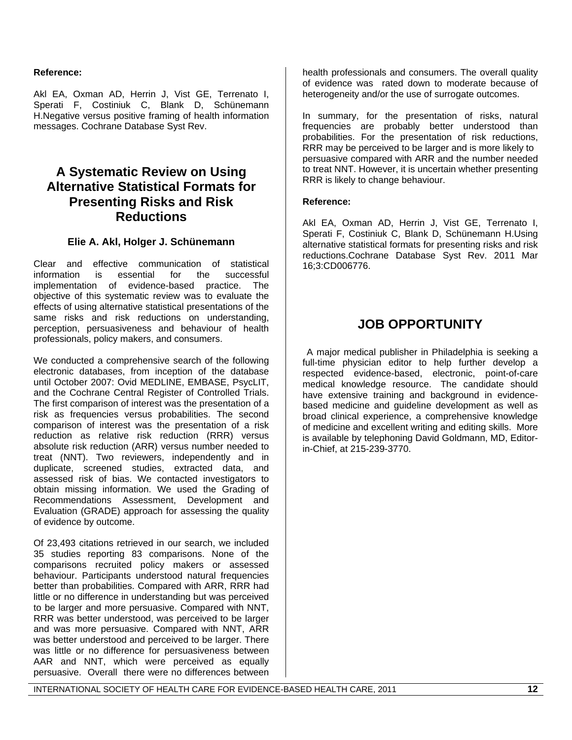#### **Reference:**

Akl EA, Oxman AD, Herrin J, Vist GE, Terrenato I, Sperati F, Costiniuk C, Blank D, Schünemann H.Negative versus positive framing of health information messages. Cochrane Database Syst Rev.

### **A Systematic Review on Using Alternative Statistical Formats for Presenting Risks and Risk Reductions**

#### **Elie A. Akl, Holger J. Schünemann**

Clear and effective communication of statistical information is essential for the successful implementation of evidence-based practice. The objective of this systematic review was to evaluate the effects of using alternative statistical presentations of the same risks and risk reductions on understanding, perception, persuasiveness and behaviour of health professionals, policy makers, and consumers.

We conducted a comprehensive search of the following electronic databases, from inception of the database until October 2007: Ovid MEDLINE, EMBASE, PsycLIT, and the Cochrane Central Register of Controlled Trials. The first comparison of interest was the presentation of a risk as frequencies versus probabilities. The second comparison of interest was the presentation of a risk reduction as relative risk reduction (RRR) versus absolute risk reduction (ARR) versus number needed to treat (NNT). Two reviewers, independently and in duplicate, screened studies, extracted data, and assessed risk of bias. We contacted investigators to obtain missing information. We used the Grading of Recommendations Assessment, Development and Evaluation (GRADE) approach for assessing the quality of evidence by outcome.

Of 23,493 citations retrieved in our search, we included 35 studies reporting 83 comparisons. None of the comparisons recruited policy makers or assessed behaviour. Participants understood natural frequencies better than probabilities. Compared with ARR, RRR had little or no difference in understanding but was perceived to be larger and more persuasive. Compared with NNT, RRR was better understood, was perceived to be larger and was more persuasive. Compared with NNT, ARR was better understood and perceived to be larger. There was little or no difference for persuasiveness between AAR and NNT, which were perceived as equally persuasive. Overall there were no differences between

health professionals and consumers. The overall quality of evidence was rated down to moderate because of heterogeneity and/or the use of surrogate outcomes.

In summary, for the presentation of risks, natural frequencies are probably better understood than probabilities. For the presentation of risk reductions, RRR may be perceived to be larger and is more likely to persuasive compared with ARR and the number needed to treat NNT. However, it is uncertain whether presenting RRR is likely to change behaviour.

#### **Reference:**

Akl EA, Oxman AD, Herrin J, Vist GE, Terrenato I, Sperati F, Costiniuk C, Blank D, Schünemann H.Using alternative statistical formats for presenting risks and risk reductions.Cochrane Database Syst Rev. 2011 Mar 16;3:CD006776.

### **JOB OPPORTUNITY**

 A major medical publisher in Philadelphia is seeking a full-time physician editor to help further develop a respected evidence-based, electronic, point-of-care medical knowledge resource. The candidate should have extensive training and background in evidencebased medicine and guideline development as well as broad clinical experience, a comprehensive knowledge of medicine and excellent writing and editing skills. More is available by telephoning David Goldmann, MD, Editorin-Chief, at 215-239-3770.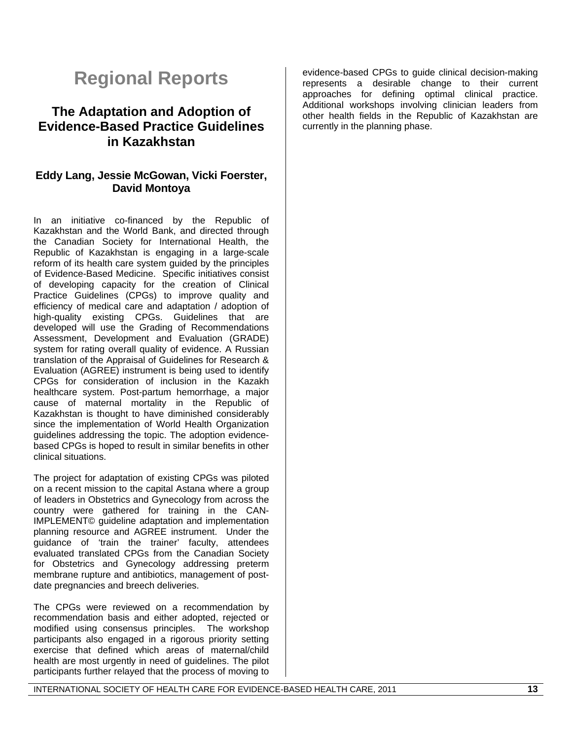## **Regional Reports**

### **The Adaptation and Adoption of Evidence-Based Practice Guidelines in Kazakhstan**

#### **Eddy Lang, Jessie McGowan, Vicki Foerster, David Montoya**

In an initiative co-financed by the Republic of Kazakhstan and the World Bank, and directed through the Canadian Society for International Health, the Republic of Kazakhstan is engaging in a large-scale reform of its health care system guided by the principles of Evidence-Based Medicine. Specific initiatives consist of developing capacity for the creation of Clinical Practice Guidelines (CPGs) to improve quality and efficiency of medical care and adaptation / adoption of high-quality existing CPGs. Guidelines that are developed will use the Grading of Recommendations Assessment, Development and Evaluation (GRADE) system for rating overall quality of evidence. A Russian translation of the Appraisal of Guidelines for Research & Evaluation (AGREE) instrument is being used to identify CPGs for consideration of inclusion in the Kazakh healthcare system. Post-partum hemorrhage, a major cause of maternal mortality in the Republic of Kazakhstan is thought to have diminished considerably since the implementation of World Health Organization guidelines addressing the topic. The adoption evidencebased CPGs is hoped to result in similar benefits in other clinical situations.

The project for adaptation of existing CPGs was piloted on a recent mission to the capital Astana where a group of leaders in Obstetrics and Gynecology from across the country were gathered for training in the CAN-IMPLEMENT© guideline adaptation and implementation planning resource and AGREE instrument. Under the quidance of 'train the trainer' faculty, attendees evaluated translated CPGs from the Canadian Society for Obstetrics and Gynecology addressing preterm membrane rupture and antibiotics, management of postdate pregnancies and breech deliveries.

The CPGs were reviewed on a recommendation by recommendation basis and either adopted, rejected or modified using consensus principles. The workshop participants also engaged in a rigorous priority setting exercise that defined which areas of maternal/child health are most urgently in need of guidelines. The pilot participants further relayed that the process of moving to

evidence-based CPGs to guide clinical decision-making represents a desirable change to their current approaches for defining optimal clinical practice. Additional workshops involving clinician leaders from other health fields in the Republic of Kazakhstan are currently in the planning phase.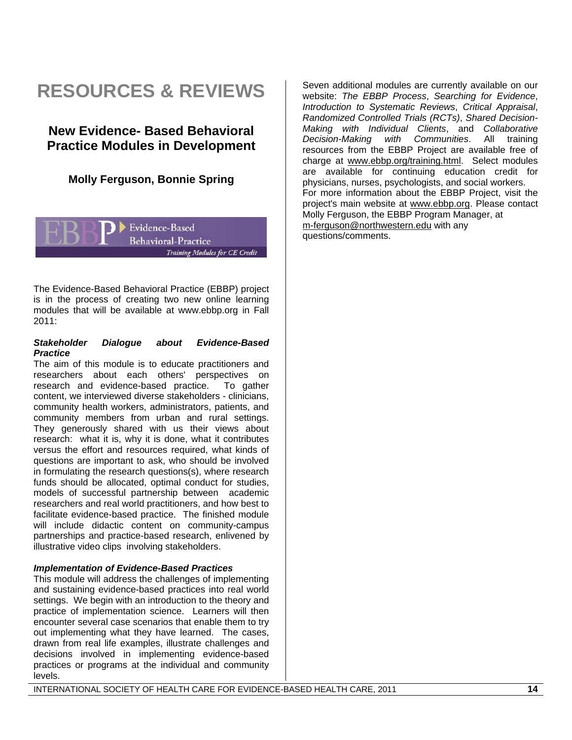## **RESOURCES & REVIEWS**

### **New Evidence- Based Behavioral Practice Modules in Development**

### **Molly Ferguson, Bonnie Spring**

Evidence-Based **Behavioral-Practice** Training Modules for CE Credit

The Evidence-Based Behavioral Practice (EBBP) project is in the process of creating two new online learning modules that will be available at www.ebbp.org in Fall 2011:

#### *Stakeholder Dialogue about Evidence-Based Practice*

The aim of this module is to educate practitioners and researchers about each others' perspectives on research and evidence-based practice. To gather content, we interviewed diverse stakeholders - clinicians, community health workers, administrators, patients, and community members from urban and rural settings. They generously shared with us their views about research: what it is, why it is done, what it contributes versus the effort and resources required, what kinds of questions are important to ask, who should be involved in formulating the research questions(s), where research funds should be allocated, optimal conduct for studies, models of successful partnership between academic researchers and real world practitioners, and how best to facilitate evidence-based practice. The finished module will include didactic content on community-campus partnerships and practice-based research, enlivened by illustrative video clips involving stakeholders.

#### *Implementation of Evidence-Based Practices*

This module will address the challenges of implementing and sustaining evidence-based practices into real world settings. We begin with an introduction to the theory and practice of implementation science. Learners will then encounter several case scenarios that enable them to try out implementing what they have learned. The cases, drawn from real life examples, illustrate challenges and decisions involved in implementing evidence-based practices or programs at the individual and community levels.

Seven additional modules are currently available on our website: *The EBBP Process*, *Searching for Evidence*, *Introduction to Systematic Reviews*, *Critical Appraisal*, *Randomized Controlled Trials (RCTs)*, *Shared Decision-Making with Individual Clients*, and *Collaborative Decision-Making with Communities.* All resources from the EBBP Project are available free of charge at www.ebbp.org/training.html. Select modules are available for continuing education credit for physicians, nurses, psychologists, and social workers. For more information about the EBBP Project, visit the project's main website at www.ebbp.org. Please contact Molly Ferguson, the EBBP Program Manager, at m-ferguson@northwestern.edu with any questions/comments.

#### INTERNATIONAL SOCIETY OF HEALTH CARE FOR EVIDENCE-BASED HEALTH CARE, 2011 **14**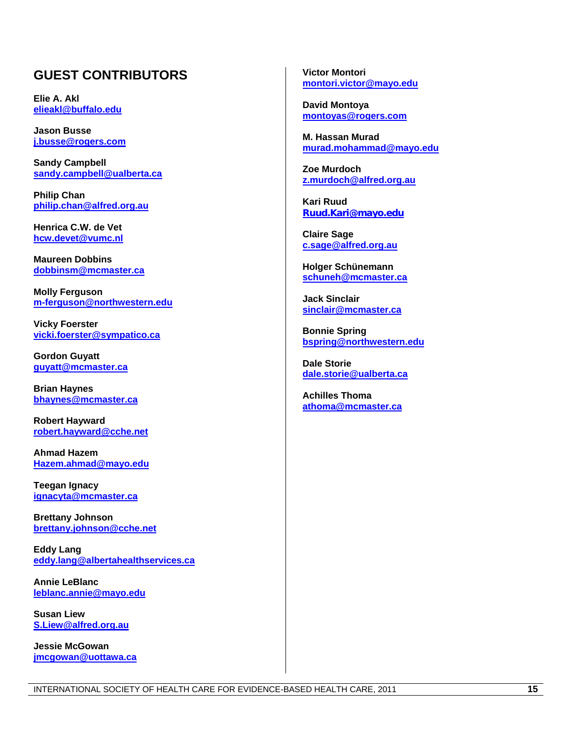### **GUEST CONTRIBUTORS**

**Elie A. Akl elieakl@buffalo.edu**

**Jason Busse j.busse@rogers.com**

**Sandy Campbell sandy.campbell@ualberta.ca**

**Philip Chan philip.chan@alfred.org.au**

**Henrica C.W. de Vet hcw.devet@vumc.nl**

**Maureen Dobbins dobbinsm@mcmaster.ca**

**Molly Ferguson m-ferguson@northwestern.edu**

**Vicky Foerster vicki.foerster@sympatico.ca**

**Gordon Guyatt guyatt@mcmaster.ca**

**Brian Haynes bhaynes@mcmaster.ca**

**Robert Hayward robert.hayward@cche.net**

**Ahmad Hazem Hazem.ahmad@mayo.edu**

**Teegan Ignacy ignacyta@mcmaster.ca**

**Brettany Johnson brettany.johnson@cche.net**

**Eddy Lang eddy.lang@albertahealthservices.ca**

**Annie LeBlanc leblanc.annie@mayo.edu**

**Susan Liew S.Liew@alfred.org.au**

**Jessie McGowan jmcgowan@uottawa.ca** **Victor Montori montori.victor@mayo.edu**

**David Montoya montoyas@rogers.com**

**M. Hassan Murad murad.mohammad@mayo.edu**

**Zoe Murdoch z.murdoch@alfred.org.au**

**Kari Ruud Ruud.Kari@mayo.edu**

**Claire Sage c.sage@alfred.org.au**

**Holger Schünemann schuneh@mcmaster.ca**

**Jack Sinclair sinclair@mcmaster.ca**

**Bonnie Spring bspring@northwestern.edu**

**Dale Storie dale.storie@ualberta.ca**

**Achilles Thoma athoma@mcmaster.ca**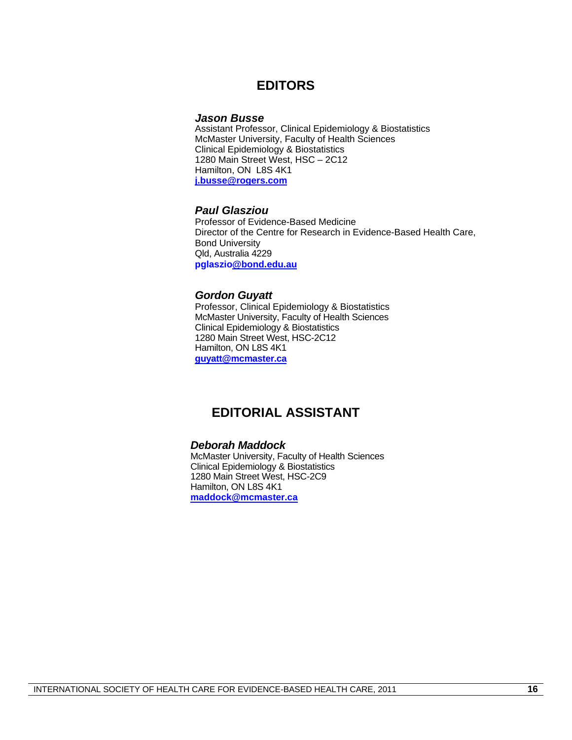### **EDITORS**

#### *Jason Busse*

Assistant Professor, Clinical Epidemiology & Biostatistics **McMaster University, Faculty of Health Sciences**  Clinical Epidemiology & Biostatistics 1280 Main Street West, HSC – 2C12 Hamilton, ON L8S 4K1 **j.busse@rogers.com**

#### *Paul Glasziou*

Professor of Evidence-Based Medicine Director of the Centre for Research in Evidence-Based Health Care, Bond University Qld, Australia 4229 **pglaszio@bond.edu.au**

#### *Gordon Guyatt*

Professor, Clinical Epidemiology & Biostatistics McMaster University, Faculty of Health Sciences Clinical Epidemiology & Biostatistics 1280 Main Street West, HSC-2C12 Hamilton, ON L8S 4K1 **guyatt@mcmaster.ca**

### **EDITORIAL ASSISTANT**

#### *Deborah Maddock*

McMaster University, Faculty of Health Sciences Clinical Epidemiology & Biostatistics 1280 Main Street West, HSC-2C9 Hamilton, ON L8S 4K1 **maddock@mcmaster.ca**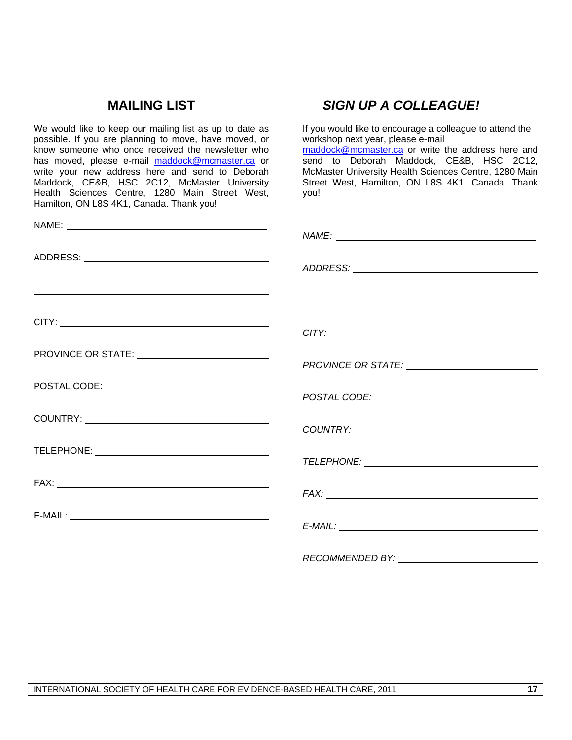### **MAILING LIST**

We would like to keep our mailing list as up to date as possible. If you are planning to move, have moved, or know someone who once received the newsletter who has moved, please e-mail maddock@mcmaster.ca or write your new address here and send to Deborah Maddock, CE&B, HSC 2C12, McMaster University Health Sciences Centre, 1280 Main Street West, Hamilton, ON L8S 4K1, Canada. Thank you!

| $\begin{picture}(180,10) \put(0,0){\dashbox{0.5}(10,0){ }} \put(10,0){\dashbox{0.5}(10,0){ }} \put(10,0){\dashbox{0.5}(10,0){ }} \put(10,0){\dashbox{0.5}(10,0){ }} \put(10,0){\dashbox{0.5}(10,0){ }} \put(10,0){\dashbox{0.5}(10,0){ }} \put(10,0){\dashbox{0.5}(10,0){ }} \put(10,0){\dashbox{0.5}(10,0){ }} \put(10,0){\dashbox{0.5}(10,0){ }} \put(10,0){\dashbox$ |                                                                                                                                                                                                                                |
|-------------------------------------------------------------------------------------------------------------------------------------------------------------------------------------------------------------------------------------------------------------------------------------------------------------------------------------------------------------------------|--------------------------------------------------------------------------------------------------------------------------------------------------------------------------------------------------------------------------------|
|                                                                                                                                                                                                                                                                                                                                                                         |                                                                                                                                                                                                                                |
| CITY:                                                                                                                                                                                                                                                                                                                                                                   | CITY:                                                                                                                                                                                                                          |
| PROVINCE OR STATE: _____________________________                                                                                                                                                                                                                                                                                                                        | PROVINCE OR STATE: _________________________                                                                                                                                                                                   |
| POSTAL CODE: __________________________________                                                                                                                                                                                                                                                                                                                         | POSTAL CODE: NAME OF STALL CODE CONTRACT OF STALL CODE CONTRACT OF STALL CODE CONTRACT OF STALL CONTRACT OF STALL CONTRACT OF STALL CONTRACT OF STALL CODE CONTRACT OF STALL CONTRACT OF STALL CONTRACT OF STALL CONTRACT OF S |
|                                                                                                                                                                                                                                                                                                                                                                         |                                                                                                                                                                                                                                |
|                                                                                                                                                                                                                                                                                                                                                                         |                                                                                                                                                                                                                                |
|                                                                                                                                                                                                                                                                                                                                                                         |                                                                                                                                                                                                                                |
| $E-MAIL:$                                                                                                                                                                                                                                                                                                                                                               |                                                                                                                                                                                                                                |
|                                                                                                                                                                                                                                                                                                                                                                         | RECOMMENDED BY: NAMEL AND RECOMMENDED BY:                                                                                                                                                                                      |
|                                                                                                                                                                                                                                                                                                                                                                         |                                                                                                                                                                                                                                |
|                                                                                                                                                                                                                                                                                                                                                                         |                                                                                                                                                                                                                                |
|                                                                                                                                                                                                                                                                                                                                                                         |                                                                                                                                                                                                                                |

### *SIGN UP A COLLEAGUE!*

If you would like to encourage a colleague to attend the workshop next year, please e-mail maddock@mcmaster.ca or write the address here and send to Deborah Maddock, CE&B, HSC 2C12, McMaster University Health Sciences Centre, 1280 Main Street West, Hamilton, ON L8S 4K1, Canada. Thank you!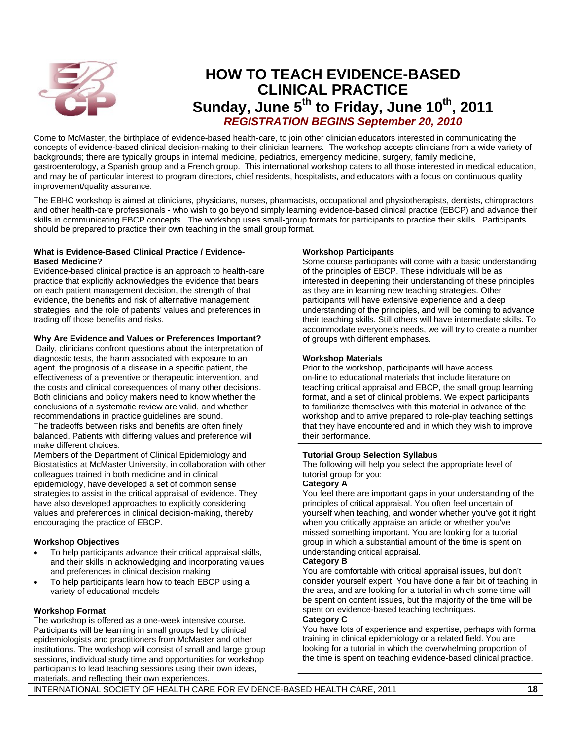

### **HOW TO TEACH EVIDENCE-BASED CLINICAL PRACTICE**  Sunday, June 5<sup>th</sup> to Friday, June 10<sup>th</sup>, 2011  *REGISTRATION BEGINS September 20, 2010*

Come to McMaster, the birthplace of evidence-based health-care, to join other clinician educators interested in communicating the concepts of evidence-based clinical decision-making to their clinician learners. The workshop accepts clinicians from a wide variety of backgrounds; there are typically groups in internal medicine, pediatrics, emergency medicine, surgery, family medicine, gastroenterology, a Spanish group and a French group. This international workshop caters to all those interested in medical education, and may be of particular interest to program directors, chief residents, hospitalists, and educators with a focus on continuous quality improvement/quality assurance.

The EBHC workshop is aimed at clinicians, physicians, nurses, pharmacists, occupational and physiotherapists, dentists, chiropractors and other health-care professionals - who wish to go beyond simply learning evidence-based clinical practice (EBCP) and advance their skills in communicating EBCP concepts. The workshop uses small-group formats for participants to practice their skills. Participants should be prepared to practice their own teaching in the small group format.

#### **What is Evidence-Based Clinical Practice / Evidence-Based Medicine?**

Evidence-based clinical practice is an approach to health-care practice that explicitly acknowledges the evidence that bears on each patient management decision, the strength of that evidence, the benefits and risk of alternative management strategies, and the role of patients' values and preferences in trading off those benefits and risks.

#### **Why Are Evidence and Values or Preferences Important?**

 Daily, clinicians confront questions about the interpretation of diagnostic tests, the harm associated with exposure to an agent, the prognosis of a disease in a specific patient, the effectiveness of a preventive or therapeutic intervention, and the costs and clinical consequences of many other decisions. Both clinicians and policy makers need to know whether the conclusions of a systematic review are valid, and whether recommendations in practice guidelines are sound. The tradeoffs between risks and benefits are often finely balanced. Patients with differing values and preference will make different choices.

Members of the Department of Clinical Epidemiology and Biostatistics at McMaster University, in collaboration with other colleagues trained in both medicine and in clinical epidemiology, have developed a set of common sense strategies to assist in the critical appraisal of evidence. They have also developed approaches to explicitly considering values and preferences in clinical decision-making, thereby encouraging the practice of EBCP.

#### **Workshop Objectives**

- To help participants advance their critical appraisal skills, and their skills in acknowledging and incorporating values and preferences in clinical decision making
- To help participants learn how to teach EBCP using a variety of educational models

#### **Workshop Format**

The workshop is offered as a one-week intensive course. Participants will be learning in small groups led by clinical epidemiologists and practitioners from McMaster and other institutions. The workshop will consist of small and large group sessions, individual study time and opportunities for workshop participants to lead teaching sessions using their own ideas, materials, and reflecting their own experiences.

#### **Workshop Participants**

Some course participants will come with a basic understanding of the principles of EBCP. These individuals will be as interested in deepening their understanding of these principles as they are in learning new teaching strategies. Other participants will have extensive experience and a deep understanding of the principles, and will be coming to advance their teaching skills. Still others will have intermediate skills. To accommodate everyone's needs, we will try to create a number of groups with different emphases.

#### **Workshop Materials**

Prior to the workshop, participants will have access on-line to educational materials that include literature on teaching critical appraisal and EBCP, the small group learning format, and a set of clinical problems. We expect participants to familiarize themselves with this material in advance of the workshop and to arrive prepared to role-play teaching settings that they have encountered and in which they wish to improve their performance.

#### **Tutorial Group Selection Syllabus**

The following will help you select the appropriate level of tutorial group for you:

#### **Category A**

You feel there are important gaps in your understanding of the principles of critical appraisal. You often feel uncertain of yourself when teaching, and wonder whether you've got it right when you critically appraise an article or whether you've missed something important. You are looking for a tutorial group in which a substantial amount of the time is spent on understanding critical appraisal.

#### **Category B**

You are comfortable with critical appraisal issues, but don't consider yourself expert. You have done a fair bit of teaching in the area, and are looking for a tutorial in which some time will be spent on content issues, but the majority of the time will be spent on evidence-based teaching techniques.

#### **Category C**

You have lots of experience and expertise, perhaps with formal training in clinical epidemiology or a related field. You are looking for a tutorial in which the overwhelming proportion of the time is spent on teaching evidence-based clinical practice.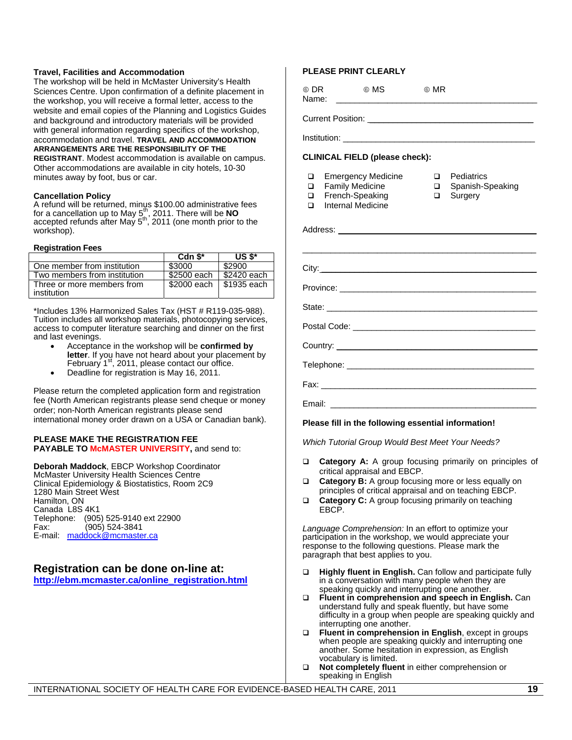#### **Travel, Facilities and Accommodation**

The workshop will be held in McMaster University's Health Sciences Centre. Upon confirmation of a definite placement in the workshop, you will receive a formal letter, access to the website and email copies of the Planning and Logistics Guides and background and introductory materials will be provided with general information regarding specifics of the workshop, accommodation and travel. **TRAVEL AND ACCOMMODATION ARRANGEMENTS ARE THE RESPONSIBILITY OF THE** 

**REGISTRANT**. Modest accommodation is available on campus. Other accommodations are available in city hotels, 10-30 minutes away by foot, bus or car.

#### **Cancellation Policy**

A refund will be returned, minus \$100.00 administrative fees<br>for a cancellation up to May 5.<sup>th</sup>, 2011. There will be **NO**  $\alpha$  can constraint the may  $5^{\text{th}}$ , 2011 (one month prior to the workshop).

#### **Registration Fees**

|                              | Cdn $$^*$    | US $$^*$    |
|------------------------------|--------------|-------------|
| One member from institution  | \$3000       | \$2900      |
| Two members from institution | \$2500 each  | \$2420 each |
| Three or more members from   | $$2000$ each | S1935 each  |
| institution                  |              |             |

\*Includes 13% Harmonized Sales Tax (HST # R119-035-988). Tuition includes all workshop materials, photocopying services, access to computer literature searching and dinner on the first and last evenings.

- Acceptance in the workshop will be **confirmed by letter**. If you have not heard about your placement by February  $1<sup>st</sup>$ , 2011, please contact our office.
- Deadline for registration is May 16, 2011.

Please return the completed application form and registration fee (North American registrants please send cheque or money order; non-North American registrants please send international money order drawn on a USA or Canadian bank).

#### **PLEASE MAKE THE REGISTRATION FEE PAYABLE TO McMASTER UNIVERSITY,** and send to:

**Deborah Maddock**, EBCP Workshop Coordinator McMaster University Health Sciences Centre Clinical Epidemiology & Biostatistics, Room 2C9 1280 Main Street West Hamilton, ON Canada L8S 4K1 Telephone: (905) 525-9140 ext 22900 Fax: (905) 524-3841 E-mail: maddock@mcmaster.ca

#### **Registration can be done on-line at: http://ebm.mcmaster.ca/online\_registration.html**

#### **PLEASE PRINT CLEARLY**

6 DR 6 MS 6 MR Name: \_\_\_\_\_\_\_\_\_\_\_\_\_\_\_\_\_\_\_\_\_\_\_\_\_\_\_\_\_\_\_\_\_\_\_\_\_\_\_\_\_\_\_

Institution:

#### **CLINICAL FIELD (please check):**

Current Position: \_\_\_\_\_\_\_\_\_\_\_\_\_\_\_\_\_\_\_\_\_\_\_\_\_\_\_\_\_\_\_\_\_\_\_

- **Emergency Medicine**
- **D** Pediatrics
- □ Family Medicine<br>□ French-Speaking
	- French-Speaking
- □ Spanish-Speaking
- □ Surgery
- $\Box$  Internal Medicine

| Diagon fill in the fellowing conceptial information i |
|-------------------------------------------------------|

**Please fill in the following essential information!** 

*Which Tutorial Group Would Best Meet Your Needs?* 

- **Category A:** A group focusing primarily on principles of critical appraisal and EBCP.
- **Category B:** A group focusing more or less equally on principles of critical appraisal and on teaching EBCP.
- **Category C:** A group focusing primarily on teaching EBCP.

*Language Comprehension:* In an effort to optimize your participation in the workshop, we would appreciate your response to the following questions. Please mark the paragraph that best applies to you.

- **Highly fluent in English.** Can follow and participate fully in a conversation with many people when they are speaking quickly and interrupting one another.
- **Fluent in comprehension and speech in English.** Can understand fully and speak fluently, but have some difficulty in a group when people are speaking quickly and interrupting one another.
- **Fluent in comprehension in English**, except in groups when people are speaking quickly and interrupting one another. Some hesitation in expression, as English vocabulary is limited.
- **Not completely fluent** in either comprehension or speaking in English